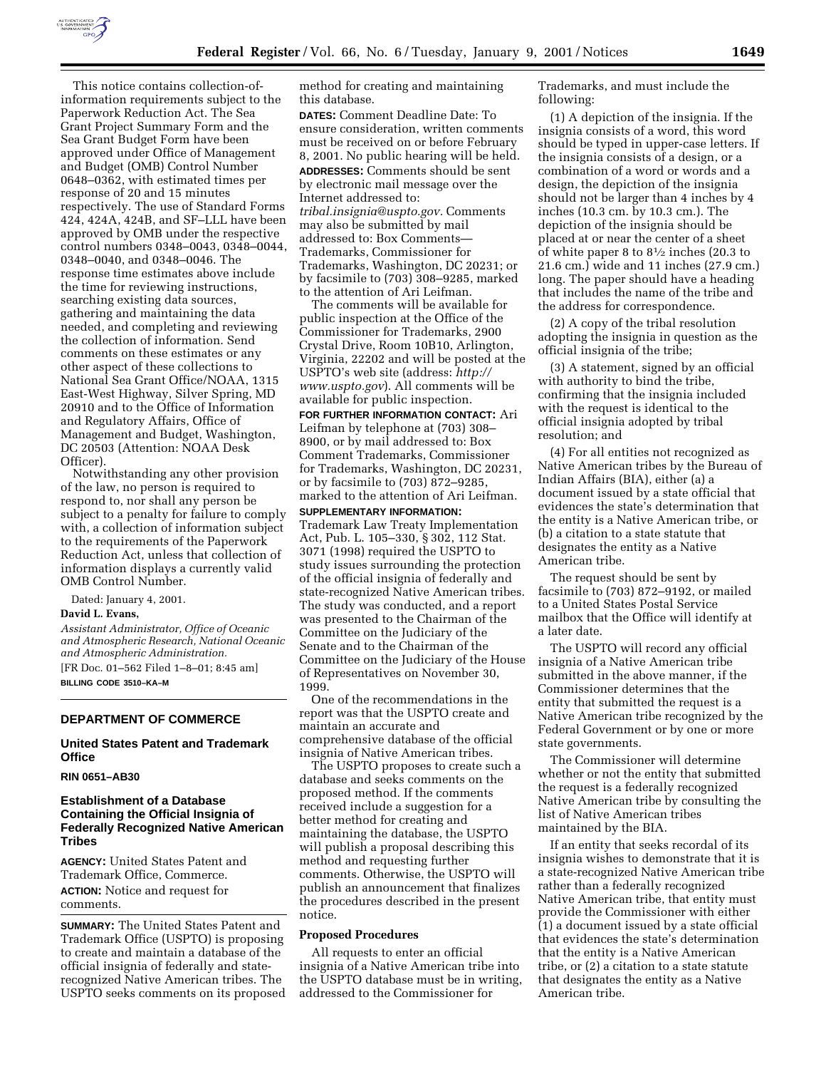

This notice contains collection-ofinformation requirements subject to the Paperwork Reduction Act. The Sea Grant Project Summary Form and the Sea Grant Budget Form have been approved under Office of Management and Budget (OMB) Control Number 0648–0362, with estimated times per response of 20 and 15 minutes respectively. The use of Standard Forms 424, 424A, 424B, and SF–LLL have been approved by OMB under the respective control numbers 0348–0043, 0348–0044, 0348–0040, and 0348–0046. The response time estimates above include the time for reviewing instructions, searching existing data sources, gathering and maintaining the data needed, and completing and reviewing the collection of information. Send comments on these estimates or any other aspect of these collections to National Sea Grant Office/NOAA, 1315 East-West Highway, Silver Spring, MD 20910 and to the Office of Information and Regulatory Affairs, Office of Management and Budget, Washington, DC 20503 (Attention: NOAA Desk Officer).

Notwithstanding any other provision of the law, no person is required to respond to, nor shall any person be subject to a penalty for failure to comply with, a collection of information subject to the requirements of the Paperwork Reduction Act, unless that collection of information displays a currently valid OMB Control Number.

Dated: January 4, 2001.

#### **David L. Evans,**

*Assistant Administrator, Office of Oceanic and Atmospheric Research, National Oceanic and Atmospheric Administration.* [FR Doc. 01–562 Filed 1–8–01; 8:45 am] **BILLING CODE 3510–KA–M**

# **DEPARTMENT OF COMMERCE**

## **United States Patent and Trademark Office**

#### **RIN 0651–AB30**

# **Establishment of a Database Containing the Official Insignia of Federally Recognized Native American Tribes**

**AGENCY:** United States Patent and Trademark Office, Commerce. **ACTION:** Notice and request for comments.

**SUMMARY:** The United States Patent and Trademark Office (USPTO) is proposing to create and maintain a database of the official insignia of federally and staterecognized Native American tribes. The USPTO seeks comments on its proposed method for creating and maintaining this database.

**DATES:** Comment Deadline Date: To ensure consideration, written comments must be received on or before February 8, 2001. No public hearing will be held.

**ADDRESSES:** Comments should be sent by electronic mail message over the Internet addressed to: *tribal.insignia@uspto.gov.* Comments may also be submitted by mail addressed to: Box Comments— Trademarks, Commissioner for Trademarks, Washington, DC 20231; or by facsimile to (703) 308–9285, marked to the attention of Ari Leifman.

The comments will be available for public inspection at the Office of the Commissioner for Trademarks, 2900 Crystal Drive, Room 10B10, Arlington, Virginia, 22202 and will be posted at the USPTO's web site (address: *http:// www.uspto.gov*). All comments will be available for public inspection.

**FOR FURTHER INFORMATION CONTACT:** Ari Leifman by telephone at (703) 308– 8900, or by mail addressed to: Box Comment Trademarks, Commissioner for Trademarks, Washington, DC 20231, or by facsimile to (703) 872–9285, marked to the attention of Ari Leifman.

**SUPPLEMENTARY INFORMATION:** Trademark Law Treaty Implementation Act, Pub. L. 105–330, § 302, 112 Stat. 3071 (1998) required the USPTO to study issues surrounding the protection of the official insignia of federally and state-recognized Native American tribes. The study was conducted, and a report was presented to the Chairman of the Committee on the Judiciary of the Senate and to the Chairman of the Committee on the Judiciary of the House of Representatives on November 30, 1999.

One of the recommendations in the report was that the USPTO create and maintain an accurate and comprehensive database of the official insignia of Native American tribes.

The USPTO proposes to create such a database and seeks comments on the proposed method. If the comments received include a suggestion for a better method for creating and maintaining the database, the USPTO will publish a proposal describing this method and requesting further comments. Otherwise, the USPTO will publish an announcement that finalizes the procedures described in the present notice.

#### **Proposed Procedures**

All requests to enter an official insignia of a Native American tribe into the USPTO database must be in writing, addressed to the Commissioner for

Trademarks, and must include the following:

(1) A depiction of the insignia. If the insignia consists of a word, this word should be typed in upper-case letters. If the insignia consists of a design, or a combination of a word or words and a design, the depiction of the insignia should not be larger than 4 inches by 4 inches (10.3 cm. by 10.3 cm.). The depiction of the insignia should be placed at or near the center of a sheet of white paper 8 to 81⁄2 inches (20.3 to 21.6 cm.) wide and 11 inches (27.9 cm.) long. The paper should have a heading that includes the name of the tribe and the address for correspondence.

(2) A copy of the tribal resolution adopting the insignia in question as the official insignia of the tribe;

(3) A statement, signed by an official with authority to bind the tribe, confirming that the insignia included with the request is identical to the official insignia adopted by tribal resolution; and

(4) For all entities not recognized as Native American tribes by the Bureau of Indian Affairs (BIA), either (a) a document issued by a state official that evidences the state's determination that the entity is a Native American tribe, or (b) a citation to a state statute that designates the entity as a Native American tribe.

The request should be sent by facsimile to (703) 872–9192, or mailed to a United States Postal Service mailbox that the Office will identify at a later date.

The USPTO will record any official insignia of a Native American tribe submitted in the above manner, if the Commissioner determines that the entity that submitted the request is a Native American tribe recognized by the Federal Government or by one or more state governments.

The Commissioner will determine whether or not the entity that submitted the request is a federally recognized Native American tribe by consulting the list of Native American tribes maintained by the BIA.

If an entity that seeks recordal of its insignia wishes to demonstrate that it is a state-recognized Native American tribe rather than a federally recognized Native American tribe, that entity must provide the Commissioner with either (1) a document issued by a state official that evidences the state's determination that the entity is a Native American tribe, or (2) a citation to a state statute that designates the entity as a Native American tribe.